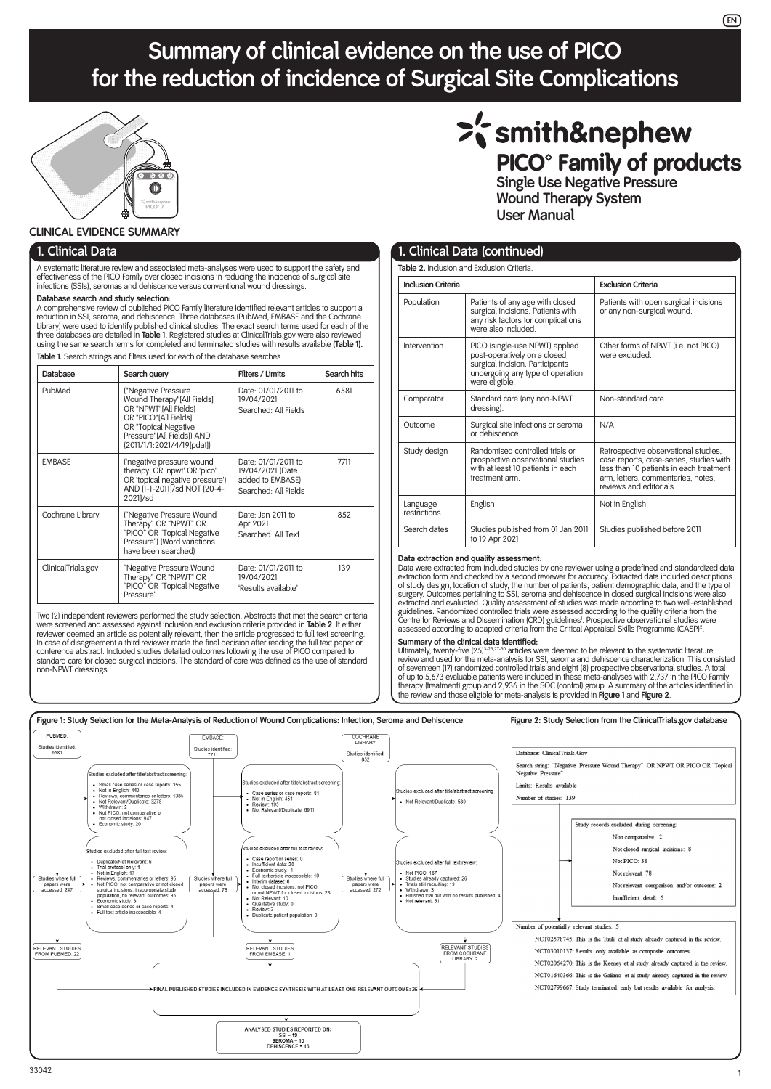# **Summary of clinical evidence on the use of PICO for the reduction of incidence of Surgical Site Complications**



#### **CLINICAL EVIDENCE SUMMARY**

#### **1. Clinical Data**

A systematic literature review and associated meta-analyses were used to support the safety and effectiveness of the PICO Family over closed incisions in reducing the incidence of surgical site infections (SSIs), seromas and dehiscence versus conventional wound dressings.

#### **Database search and study selection:**

A comprehensive review of published PICO Family literature identified relevant articles to support a reduction in SSI, seroma, and dehiscence. Three databases (PubMed, EMBASE and the Cochrane Library) were used to identify published clinical studies. The exact search terms used for each of the three databases are detailed in **Table 1**. Registered studies at ClinicalTrials.gov were also reviewed using the same search terms for completed and terminated studies with results available **(Table 1). Table 1.** Search strings and filters used for each of the database searches.

| Database           | Search query                                                                                                                                                                            | Filters / Limits                                                                    | Search hits |
|--------------------|-----------------------------------------------------------------------------------------------------------------------------------------------------------------------------------------|-------------------------------------------------------------------------------------|-------------|
|                    |                                                                                                                                                                                         |                                                                                     |             |
| PubMed             | ("Negative Pressure<br>Wound Therapy"[All Fields]<br>OR "NPWT"[All Fields]<br>OR "PICO"[All Fields]<br>OR "Topical Negative<br>Pressure"[All Fields]) AND<br>(2011/1/1:2021/4/19[pdat]) | Date: 01/01/2011 to<br>19/04/2021<br>Searched: All Fields                           | 6581        |
| <b>EMBASE</b>      | ('negative pressure wound<br>therapy' OR 'npwt' OR 'pico'<br>OR 'topical negative pressure')<br>AND [1-1-2011]/sd NOT [20-4-<br>20211/sd                                                | Date: 01/01/2011 to<br>19/04/2021 (Date<br>added to EMBASE)<br>Searched: All Fields | 7711        |
| Cochrane Library   | ("Negative Pressure Wound<br>Therapy" OR "NPWT" OR<br>"PICO" OR "Topical Negative<br>Pressure") (Word variations<br>have been searched)                                                 | Date: Jan 2011 to<br>Apr 2021<br>Searched: All Text                                 | 852         |
| ClinicalTrials.gov | "Negative Pressure Wound<br>Therapy" OR "NPWT" OR<br>"PICO" OR "Topical Negative<br>Pressure"                                                                                           | Date: 01/01/2011 to<br>19/04/2021<br>'Results available'                            | 139         |

Two (2) independent reviewers performed the study selection. Abstracts that met the search criteria were screened and assessed against inclusion and exclusion criteria provided in **Table 2**. If either reviewer deemed an article as potentially relevant, then the article progressed to full text screening.<br>In case of disagreement a third reviewer made the final decision after reading the full text paper or<br>conference abstr standard care for closed surgical incisions. The standard of care was defined as the use of standard non-NPWT dressings.

# >'s mith&nephew PICO<sup>®</sup> Family of products

**Single Use Negative Pressure Wound Therapy System User Manual**

| 1. Clinical Data (continued) |                                                                                                                                                         |                                                                                                                                                                                             |  |  |  |  |  |  |  |  |
|------------------------------|---------------------------------------------------------------------------------------------------------------------------------------------------------|---------------------------------------------------------------------------------------------------------------------------------------------------------------------------------------------|--|--|--|--|--|--|--|--|
|                              | Table 2. Inclusion and Exclusion Criteria.                                                                                                              |                                                                                                                                                                                             |  |  |  |  |  |  |  |  |
| <b>Inclusion Criteria</b>    |                                                                                                                                                         | <b>Exclusion Criteria</b>                                                                                                                                                                   |  |  |  |  |  |  |  |  |
| Population                   | Patients of any age with closed<br>surgical incisions. Patients with<br>any risk factors for complications<br>were also included.                       | Patients with open surgical incisions<br>or any non-surgical wound.                                                                                                                         |  |  |  |  |  |  |  |  |
| Intervention                 | PICO (single-use NPWT) applied<br>post-operatively on a closed<br>surgical incision. Participants<br>undergoing any type of operation<br>were eligible. | Other forms of NPWT (i.e. not PICO)<br>were excluded.                                                                                                                                       |  |  |  |  |  |  |  |  |
| Comparator                   | Standard care (any non-NPWT<br>dressing).                                                                                                               | Non-standard care                                                                                                                                                                           |  |  |  |  |  |  |  |  |
| Outcome                      | Surgical site infections or seroma<br>or dehiscence.                                                                                                    | N/A                                                                                                                                                                                         |  |  |  |  |  |  |  |  |
| Study design                 | Randomised controlled trials or<br>prospective observational studies<br>with at least 10 patients in each<br>treatment arm                              | Retrospective observational studies,<br>case reports, case-series, studies with<br>less than 10 patients in each treatment<br>arm, letters, commentaries, notes,<br>reviews and editorials. |  |  |  |  |  |  |  |  |
| Language<br>restrictions     | English                                                                                                                                                 | Not in English                                                                                                                                                                              |  |  |  |  |  |  |  |  |
| Search dates                 | Studies published from 01 Jan 2011<br>to 19 Apr 2021                                                                                                    | Studies published before 2011                                                                                                                                                               |  |  |  |  |  |  |  |  |

# **Data extraction and quality assessment:**<br>Data were extracted from included studies by one reviewer using a predefined and standardized data

Data were extracted from included studies by one reviewer using a predefined and standardized data<br>extraction form and checked by a second reviewer for accuracy. Extracted data included descriptions<br>of study design, locati

**Summary of the clinical data identified:**<br>Ultimately, twenty-five (25)<sup>3-23,27-30</sup> articles were deemed to be relevant to the systematic literature review and used for the meta-analysis for SSI, seroma and dehiscence characterization. This consisted of seventeen (17) randomized controlled trials and eight (8) prospective observational studies. A total of up to 5,673 evaluable patients were included in these meta-analyses with 2,737 in the PICO Family therapy (treatment) group and 2,936 in the SOC (control) group. A summary of the articles identified in the review and those eligible for meta-analysis is provided in **Figure 1** and **Figure 2**.

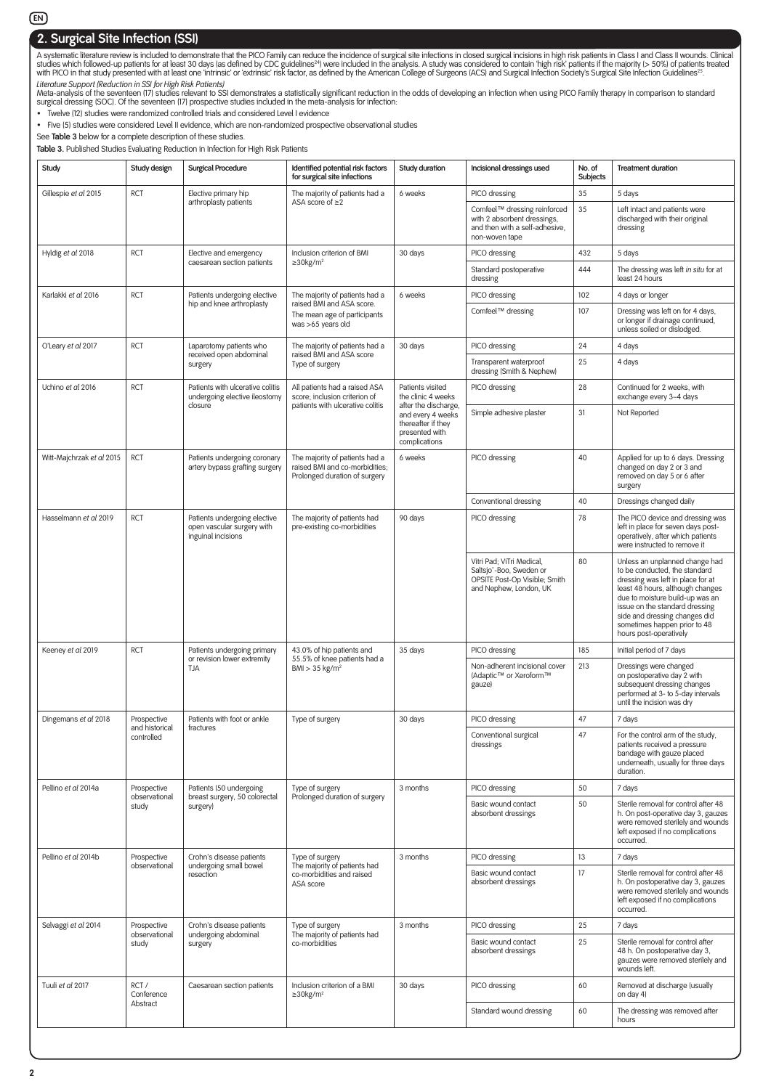### **EN**

# **2. Surgical Site Infection (SSI)**

A systematic literature review is included to demonstrate that the PICO Family can reduce the incidence of surgical site infections in closed surgical incisions in high risk patients in Class I and Class II wounds. Clinica

*Literature Support (Reduction in SSI for High Risk Patients)*<br>Meta-analysis of the seventeen (17) studies relevant to SSI demonstrates a statistically significant reduction in the odds of developing an infection when usin

• Twelve (12) studies were randomized controlled trials and considered Level I evidence

• Five (5) studies were considered Level II evidence, which are non-randomized prospective observational studies

See **Table 3** below for a complete description of these studies.

**Table 3.** Published Studies Evaluating Reduction in Infection for High Risk Patients

| Study                     | Study design                   | <b>Surgical Procedure</b>                                                        | Identified potential risk factors<br>for surgical site infections                                  | Study duration                                                                                     | Incisional dressings used                                                                                       | No. of<br>Subjects | <b>Treatment duration</b>                                                                                                                                                                                                                                                                                |
|---------------------------|--------------------------------|----------------------------------------------------------------------------------|----------------------------------------------------------------------------------------------------|----------------------------------------------------------------------------------------------------|-----------------------------------------------------------------------------------------------------------------|--------------------|----------------------------------------------------------------------------------------------------------------------------------------------------------------------------------------------------------------------------------------------------------------------------------------------------------|
| Gillespie et al 2015      | <b>RCT</b>                     | Elective primary hip                                                             | The majority of patients had a                                                                     | 6 weeks                                                                                            | PICO dressing                                                                                                   | 35                 | 5 days                                                                                                                                                                                                                                                                                                   |
|                           |                                | arthroplasty patients                                                            | ASA score of $\geq$ 2                                                                              |                                                                                                    | Comfeel™ dressing reinforced<br>with 2 absorbent dressings,<br>and then with a self-adhesive,<br>non-woven tape | 35                 | Left intact and patients were<br>discharged with their original<br>dressing                                                                                                                                                                                                                              |
| Hyldig et al 2018         | <b>RCT</b>                     | Elective and emergency                                                           | Inclusion criterion of BMI                                                                         | 30 days                                                                                            | PICO dressing                                                                                                   | 432                | 5 days                                                                                                                                                                                                                                                                                                   |
|                           |                                | caesarean section patients                                                       | $\geq$ 30kg/m <sup>2</sup>                                                                         |                                                                                                    | Standard postoperative<br>dressing                                                                              | 444                | The dressing was left in situ for at<br>least 24 hours                                                                                                                                                                                                                                                   |
| Karlakki et al 2016       | <b>RCT</b>                     | Patients undergoing elective                                                     | The majority of patients had a                                                                     | 6 weeks                                                                                            | PICO dressing                                                                                                   | 102                | 4 days or longer                                                                                                                                                                                                                                                                                         |
|                           |                                | hip and knee arthroplasty                                                        | raised BMI and ASA score.<br>The mean age of participants<br>was >65 years old                     |                                                                                                    | Comfeel™ dressing                                                                                               | 107                | Dressing was left on for 4 days,<br>or longer if drainage continued,<br>unless soiled or dislodged.                                                                                                                                                                                                      |
| O'Leary et al 2017        | <b>RCT</b>                     | Laparotomy patients who                                                          | The majority of patients had a                                                                     | 30 days                                                                                            | PICO dressing                                                                                                   | 24                 | 4 days                                                                                                                                                                                                                                                                                                   |
|                           |                                | received open abdominal<br>surgery                                               | raised BMI and ASA score<br>Type of surgery                                                        |                                                                                                    | Transparent waterproof<br>dressing (Smith & Nephew)                                                             | 25                 | 4 days                                                                                                                                                                                                                                                                                                   |
| Uchino et al 2016         | <b>RCT</b>                     | Patients with ulcerative colitis<br>undergoing elective ileostomy                | All patients had a raised ASA<br>score; inclusion criterion of<br>patients with ulcerative colitis | Patients visited<br>the clinic 4 weeks                                                             | PICO dressing                                                                                                   | 28                 | Continued for 2 weeks, with<br>exchange every 3-4 days                                                                                                                                                                                                                                                   |
|                           |                                | closure                                                                          |                                                                                                    | after the discharge,<br>and every 4 weeks<br>thereafter if they<br>presented with<br>complications | Simple adhesive plaster                                                                                         | 31                 | Not Reported                                                                                                                                                                                                                                                                                             |
| Witt-Majchrzak et al 2015 | <b>RCT</b>                     | Patients undergoing coronary<br>artery bypass grafting surgery                   | The majority of patients had a<br>raised BMI and co-morbidities;<br>Prolonged duration of surgery  | 6 weeks                                                                                            | PICO dressing                                                                                                   | 40                 | Applied for up to 6 days. Dressing<br>changed on day 2 or 3 and<br>removed on day 5 or 6 after<br>surgery                                                                                                                                                                                                |
|                           |                                |                                                                                  |                                                                                                    |                                                                                                    | Conventional dressing                                                                                           | 40                 | Dressings changed daily                                                                                                                                                                                                                                                                                  |
| Hasselmann et al 2019     | <b>RCT</b>                     | Patients undergoing elective<br>open vascular surgery with<br>inguinal incisions | The majority of patients had<br>pre-existing co-morbidities                                        | 90 days                                                                                            | PICO dressing                                                                                                   | 78                 | The PICO device and dressing was<br>left in place for seven days post-<br>operatively, after which patients<br>were instructed to remove it                                                                                                                                                              |
|                           |                                |                                                                                  |                                                                                                    |                                                                                                    | Vitri Pad; ViTri Medical,<br>Saltsjo"-Boo, Sweden or<br>OPSITE Post-Op Visible; Smith<br>and Nephew, London, UK | 80                 | Unless an unplanned change had<br>to be conducted, the standard<br>dressing was left in place for at<br>least 48 hours, although changes<br>due to moisture build-up was an<br>issue on the standard dressing<br>side and dressing changes did<br>sometimes happen prior to 48<br>hours post-operatively |
| Keeney et al 2019         | <b>RCT</b>                     | Patients undergoing primary<br>or revision lower extremity                       | 43.0% of hip patients and<br>55.5% of knee patients had a                                          | 35 days                                                                                            | PICO dressing                                                                                                   | 185                | Initial period of 7 days                                                                                                                                                                                                                                                                                 |
|                           |                                | TJA                                                                              | $BMl > 35$ kg/m <sup>2</sup>                                                                       |                                                                                                    | Non-adherent incisional cover<br>(Adaptic™ or Xeroform™<br>gauze)                                               | 213                | Dressings were changed<br>on postoperative day 2 with<br>subsequent dressing changes<br>performed at 3- to 5-day intervals<br>until the incision was dry                                                                                                                                                 |
| Dingemans et al 2018      | Prospective<br>and historical  | Patients with foot or ankle<br>fractures                                         | Type of surgery                                                                                    | 30 days                                                                                            | PICO dressing                                                                                                   | 47                 | 7 days                                                                                                                                                                                                                                                                                                   |
|                           | controlled                     |                                                                                  |                                                                                                    |                                                                                                    | Conventional surgical<br>dressings                                                                              | 47                 | For the control arm of the study,<br>patients received a pressure<br>bandage with gauze placed<br>underneath, usually for three days<br>duration.                                                                                                                                                        |
| Pellino et al 2014a       | Prospective                    | Patients (50 undergoing                                                          | Type of surgery                                                                                    | 3 months                                                                                           | PICO dressing                                                                                                   | 50                 | 7 days                                                                                                                                                                                                                                                                                                   |
|                           | observational<br>study         | breast surgery, 50 colorectal<br>surgery)                                        | Prolonged duration of surgery                                                                      |                                                                                                    | Basic wound contact<br>absorbent dressings                                                                      | 50                 | Sterile removal for control after 48<br>h. On post-operative day 3, gauzes<br>were removed sterilely and wounds<br>left exposed if no complications<br>occurred.                                                                                                                                         |
| Pellino et al 2014b       | Prospective                    | Crohn's disease patients                                                         | Type of surgery                                                                                    | 3 months                                                                                           | PICO dressing                                                                                                   | 13                 | 7 days                                                                                                                                                                                                                                                                                                   |
|                           | observational                  | undergoing small bowel<br>resection                                              | The majority of patients had<br>co-morbidities and raised<br>ASA score                             |                                                                                                    | Basic wound contact<br>absorbent dressings                                                                      | 17                 | Sterile removal for control after 48<br>h. On postoperative day 3, gauzes<br>were removed sterilely and wounds<br>left exposed if no complications<br>occurred.                                                                                                                                          |
| Selvaggi et al 2014       | Prospective                    | Crohn's disease patients                                                         | Type of surgery                                                                                    | 3 months                                                                                           | PICO dressing                                                                                                   | 25                 | 7 days                                                                                                                                                                                                                                                                                                   |
|                           | observational<br>study         | undergoing abdominal<br>surgery                                                  | The majority of patients had<br>co-morbidities                                                     |                                                                                                    | Basic wound contact<br>absorbent dressings                                                                      | 25                 | Sterile removal for control after<br>48 h. On postoperative day 3,<br>gauzes were removed sterilely and<br>wounds left.                                                                                                                                                                                  |
| Tuuli et al 2017          | RCT/<br>Conference<br>Abstract | Caesarean section patients                                                       | Inclusion criterion of a BMI<br>$\geq$ 30kg/m <sup>2</sup>                                         | 30 days                                                                                            | PICO dressing                                                                                                   | 60                 | Removed at discharge (usually<br>on day 4)                                                                                                                                                                                                                                                               |
|                           |                                |                                                                                  |                                                                                                    |                                                                                                    | Standard wound dressing                                                                                         | 60                 | The dressing was removed after<br>hours                                                                                                                                                                                                                                                                  |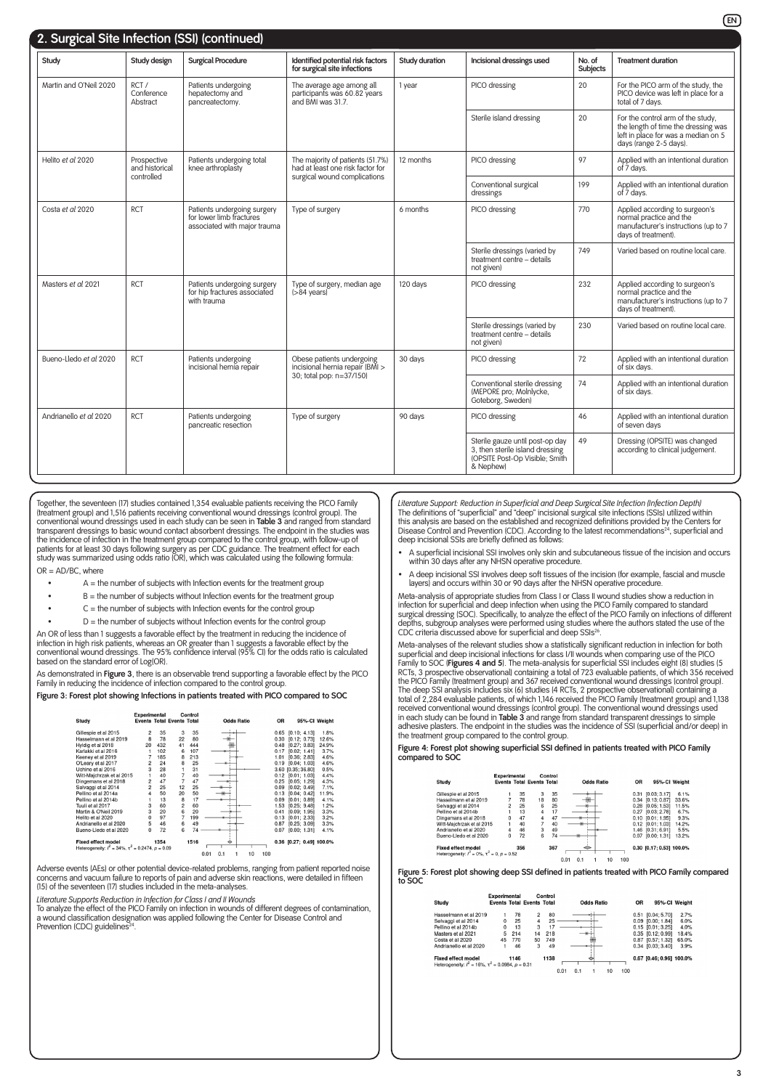| 2. Surgical Site Infection (SSI) (continued) |                                                                                                                                                                               |                                                                                         |                                                                                   |                |                                                                                                                   |                    |                                                                                                                                           |
|----------------------------------------------|-------------------------------------------------------------------------------------------------------------------------------------------------------------------------------|-----------------------------------------------------------------------------------------|-----------------------------------------------------------------------------------|----------------|-------------------------------------------------------------------------------------------------------------------|--------------------|-------------------------------------------------------------------------------------------------------------------------------------------|
| Study                                        | Study design                                                                                                                                                                  | <b>Surgical Procedure</b>                                                               | Identified potential risk factors<br>for surgical site infections                 | Study duration | Incisional dressings used                                                                                         | No. of<br>Subjects | <b>Treatment duration</b>                                                                                                                 |
| Martin and O'Neil 2020                       | RCT/<br>Patients undergoing<br>The average age among all<br>Conference<br>hepatectomy and<br>participants was 60.82 years<br>and BMI was 31.7.<br>Abstract<br>pancreatectomy. |                                                                                         |                                                                                   | 1 year         | PICO dressing                                                                                                     | 20                 | For the PICO arm of the study, the<br>PICO device was left in place for a<br>total of 7 days.                                             |
|                                              |                                                                                                                                                                               |                                                                                         |                                                                                   |                | Sterile island dressing                                                                                           | 20                 | For the control arm of the study.<br>the length of time the dressing was<br>left in place for was a median on 5<br>days (range 2-5 days). |
| Helito et al 2020                            | Prospective<br>and historical<br>controlled                                                                                                                                   | Patients undergoing total<br>knee arthroplasty                                          | The majority of patients (51.7%)<br>12 months<br>had at least one risk factor for |                | PICO dressing                                                                                                     | 97                 | Applied with an intentional duration<br>of 7 days.                                                                                        |
|                                              |                                                                                                                                                                               |                                                                                         | surgical wound complications                                                      |                | Conventional surgical<br>dressings                                                                                | 199                | Applied with an intentional duration<br>of 7 davs.                                                                                        |
| Costa et al 2020                             | RCT                                                                                                                                                                           | Patients undergoing surgery<br>for lower limb fractures<br>associated with major trauma | Type of surgery                                                                   |                | PICO dressing                                                                                                     | 770                | Applied according to surgeon's<br>normal practice and the<br>manufacturer's instructions (up to 7<br>davs of treatment).                  |
|                                              |                                                                                                                                                                               |                                                                                         |                                                                                   |                | Sterile dressings (varied by<br>treatment centre - details<br>not given)                                          | 749                | Varied based on routine local care.                                                                                                       |
| Masters et al 2021                           | <b>RCT</b>                                                                                                                                                                    | Patients undergoing surgery<br>for hip fractures associated<br>with trauma              | Type of surgery, median age<br>$( > 84$ vears)                                    | 120 davs       | PICO dressing                                                                                                     | 232                | Applied according to surgeon's<br>normal practice and the<br>manufacturer's instructions (up to 7<br>days of treatment).                  |
|                                              |                                                                                                                                                                               |                                                                                         |                                                                                   |                | Sterile dressings (varied by<br>treatment centre - details<br>not given)                                          | 230                | Varied based on routine local care.                                                                                                       |
| Bueno-Lledo et al 2020                       | <b>RCT</b>                                                                                                                                                                    | Patients undergoing<br>incisional hernia repair                                         | Obese patients undergoing<br>incisional hernia repair (BMI >                      | 30 days        | PICO dressing                                                                                                     | 72                 | Applied with an intentional duration<br>of six days.                                                                                      |
|                                              |                                                                                                                                                                               |                                                                                         | 30; total pop: n=37/150)                                                          |                | Conventional sterile dressing<br>(MEPORE pro; Molnlycke,<br>Goteborg, Sweden)                                     | 74                 | Applied with an intentional duration<br>of six days.                                                                                      |
| Andrianello et al 2020                       | <b>RCT</b>                                                                                                                                                                    | Patients undergoing<br>pancreatic resection                                             | Type of surgery                                                                   | 90 days        | PICO dressing                                                                                                     | 46                 | Applied with an intentional duration<br>of seven days                                                                                     |
|                                              |                                                                                                                                                                               |                                                                                         |                                                                                   |                | Sterile gauze until post-op day<br>3, then sterile island dressing<br>(OPSITE Post-Op Visible; Smith<br>& Nephew) | 49                 | Dressing (OPSITE) was changed<br>according to clinical judgement.                                                                         |

Together, the seventeen (17) studies contained 1,354 evaluable patients receiving the PICO Family (treatment group) and 1,516 patients receiving conventional wound dressings (control group). The<br>conventional wound dressings used in each study can be seen in **Table 3** and ranged from standard<br>transparent dressings to ba the incidence of infection in the treatment group compared to the control group, with follow-up of<br>patients for at least 30 days following surgery as per CDC guidance. The treatment effect for each<br>study was summarized usi

- OR = AD/BC, where
	- $A =$  the number of subjects with Infection events for the treatment group
	- $B =$  the number of subjects without Infection events for the treatment group
	- $C =$  the number of subjects with Infection events for the control group
	- $D =$  the number of subjects without Infection events for the control group

An OR of less than 1 suggests a favorable effect by the treatment in reducing the incidence of infection in high risk patients, whereas an OR greater than 1 suggests a favorable effect by the<br>conventional wound dressings. The 95% confidence interval (95% CI) for the odds ratio is calculated<br>based on the standard err

As demonstrated in **Figure 3**, there is an observable trend supporting a favorable effect by the PICO Family in reducing the incidence of infection compared to the control group.

**Figure 3: Forest plot showing Infections in patients treated with PICO compared to SOC**

|                                                              | Experimental   |      | <b>Events Total Events Total</b> | Control |      |     |                   |     |           |                          |               |
|--------------------------------------------------------------|----------------|------|----------------------------------|---------|------|-----|-------------------|-----|-----------|--------------------------|---------------|
| Study                                                        |                |      |                                  |         |      |     | <b>Odds Ratio</b> |     | <b>OR</b> |                          | 95%-CI Weight |
| Gillespie et al 2015                                         | 2              | 35   | 3                                | 35      |      |     |                   |     | 0.65      | [0.10; 4.13]             | 1.8%          |
| Hasselmann et al 2019                                        | 8              | 78   | 22                               | 80      |      |     |                   |     | 0.30      | [0.12; 0.73]             | 12.6%         |
| Hyldig et al 2018                                            | 20             | 432  | 41                               | 444     |      |     |                   |     | 0.48      | [0.27; 0.83]             | 24.9%         |
| Karlakki et al 2016                                          |                | 102  | 6                                | 107     |      |     |                   |     | 0.17      | [0.02; 1.41]             | 3.7%          |
| Keeney et al 2019                                            | 7              | 185  | 8                                | 213     |      |     |                   |     | 1.01      | [0.36; 2.83]             | 4.6%          |
| O'Leary et al 2017                                           | 2              | 24   | 8                                | 25      |      |     |                   |     | 0.19      | [0.04; 1.03]             | 4.6%          |
| Uchino et al 2016                                            | 3              | 28   | 1                                | 31      |      |     |                   |     |           | 3.60 [0.35; 36.80]       | 0.5%          |
| Witt-Maichrzak et al 2015                                    | 1              | 40   | 7                                | 40      |      |     |                   |     | 0.12      | [0.01; 1.03]             | 4.4%          |
| Dingemans et al 2018                                         | $\overline{c}$ | 47   | 7                                | 47      |      |     |                   |     | 0.25      | [0.05; 1.29]             | 4.3%          |
| Selvaggi et al 2014                                          | $\overline{a}$ | 25   | 12                               | 25      |      |     |                   |     | 0.09      | [0.02; 0.49]             | 7.1%          |
| Pellino et al 2014a                                          | 4              | 50   | 20                               | 50      |      |     |                   |     | 0.13      | [0.04; 0.42]             | 11.9%         |
| Pellino et al 2014b                                          |                | 13   | 8                                | 17      |      |     |                   |     | 0.09      | [0.01; 0.89]             | 4.1%          |
| Tuuli et al 2017                                             | 3              | 60   | $\overline{2}$                   | 60      |      |     |                   |     | 1.53      | [0.25: 9.48]             | 1.2%          |
| Martin & O'Neil 2019                                         | 3              | 20   | 6                                | 20      |      |     |                   |     | 0.41      | [0.09; 1.95]             | 3.3%          |
| Helito et al 2020                                            | 0              | 97   | 7                                | 199     |      |     |                   |     | 0.13      | [0.01; 2.33]             | 3.2%          |
| Andrianello et al 2020                                       | 5              | 46   | 6                                | 49      |      |     |                   |     | 0.87      | [0.25; 3.09]             | 3.3%          |
| Bueno-Lledo et al 2020                                       | 0              | 72   | 6                                | 74      |      |     |                   |     | 0.07      | [0.00: 1.31]             | 4.1%          |
| <b>Fixed effect model</b>                                    |                | 1354 |                                  | 1516    |      | ۰   |                   |     |           | 0.36 [0.27; 0.49] 100.0% |               |
| Heterogeneity: $l^2 = 34\%$ , $\tau^2 = 0.2474$ , $p = 0.09$ |                |      |                                  |         |      |     |                   |     |           |                          |               |
|                                                              |                |      |                                  |         | 0.01 | 0.1 | 10                | 100 |           |                          |               |

Adverse events (AEs) or other potential device-related problems, ranging from patient reported noise concerns and vacuum failure to reports of pain and adverse skin reactions, were detailed in fifteen (15) of the seventeen (17) studies included in the meta-analyses.

*Literature Supports Reduction in Infection for Class I and II Wounds*

To analyze the effect of the PICO Family on infection in wounds of different degrees of contamination, a wound classification designation was applied following the Center for Disease Control and Prevention (CDC) guidelines<sup>24</sup>

*Literature Support: Reduction in Superficial and Deep Surgical Site Infection (Infection Depth)* The definitions of "superficial" and "deep" incisional surgical site infections (SSIs) utilized within this analysis are based on the established and recognized definitions provided by the Centers for<br>Disease Control and Prevention (CDC). According to the latest recommendations<sup>24</sup>, superficial and deep incisional SSIs are briefly defined as follows:

- A superficial incisional SSI involves only skin and subcutaneous tissue of the incision and occurs within 30 days after any NHSN operative procedure.
- A deep incisional SSI involves deep soft tissues of the incision (for example, fascial and muscle layers) and occurs within 30 or 90 days after the NHSN operative procedure.

Meta-analysis of appropriate studies from Class I or Class II wound studies show a reduction in infection for superficial and deep infection when using the PICO Family compared to standard surgical dressing (SOC). Specifically, to analyze the effect of the PICO Family on infections of different depths, subgroup analyses were performed using studies where the authors stated the use of the CDC criteria discussed above for superficial and deep SSIs26.

Meta-analyses of the relevant studies show a statistically significant reduction in infection for both superficial and deep incisional infections for class I/II wounds when comparing use of the PICO Family to SOC (**Figures 4 and 5**). The meta-analysis for superficial SSI includes eight (8) studies (5 RCTs, 3 prospective observational) containing a total of 723 evaluable patients, of which 356 received the PICO Family (treatment group) and 367 received conventional wound dressings (control group).<br>The deep SSI analysis includes six (6) studies (4 RCTs, 2 prospective observational) containing a a<br>total of 2,284 evaluable received conventional wound dressings (control group). The conventional wound dressings used<br>in each study can be found in **Table 3** and range from standard transparent dressings to simple<br>adhesive plasters. The endpoint i the treatment group compared to the control group.

**Figure 4: Forest plot showing superficial SSI defined in patients treated with PICO Family compared to SOC**

| Study                                                  | Experimental   |     | <b>Events Total Events Total</b> | Control |      |     | <b>Odds Ratio</b> |    |     | OR   | 95%-CI Weight            |       |
|--------------------------------------------------------|----------------|-----|----------------------------------|---------|------|-----|-------------------|----|-----|------|--------------------------|-------|
|                                                        |                |     |                                  |         |      |     |                   |    |     |      |                          |       |
| Gillespie et al 2015                                   |                | 35  | 3                                | 35      |      |     |                   |    |     | 0.31 | [0.03; 3.17]             | 6.1%  |
| Hasselmann et al 2019                                  |                | 78  | 18                               | 80      |      |     |                   |    |     | 0.34 | [0.13:0.87]              | 33.6% |
| Selvaggi et al 2014                                    | $\overline{2}$ | 25  | 6                                | 25      |      |     |                   |    |     | 0.28 | [0.05:1.53]              | 11.5% |
| Pellino et al 2014b                                    |                | 13  | $\overline{a}$                   | 17      |      |     |                   |    |     | 0.27 | [0.03:2.78]              | 6.7%  |
| Dingemans et al 2018                                   | $\Omega$       | 47  | 4                                | 47      |      |     |                   |    |     | 0.10 | [0.01:1.95]              | 9.3%  |
| Witt-Maichrzak et al 2015                              |                | 40  |                                  | 40      |      |     |                   |    |     | 0.12 | [0.01:1.03]              | 14.2% |
| Andrianello et al 2020                                 | 4              | 46  | 3                                | 49      |      |     |                   |    |     | 1.46 | [0.31:6.91]              | 5.5%  |
| Bueno-Lledo et al 2020                                 | 0              | 72  | 6                                | 74      |      |     |                   |    |     | 0.07 | [0.00; 1.31]             | 13.2% |
| <b>Fixed effect model</b>                              |                | 356 |                                  | 367     |      | ⇔   |                   |    |     |      | 0.30 [0.17; 0.53] 100.0% |       |
| Heterogeneity: $l^2 = 0\%$ , $\tau^2 = 0$ , $p = 0.52$ |                |     |                                  |         |      |     |                   |    |     |      |                          |       |
|                                                        |                |     |                                  |         | 0.01 | 0.1 |                   | 10 | 100 |      |                          |       |

**Figure 5: Forest plot showing deep SSI defined in patients treated with PICO Family compared to SOC**

| Study                                                        | <b>Experimental</b> |      | <b>Events Total Events Total</b> | Control |      |     | <b>Odds Ratio</b> |    |     | <b>OR</b> |                          | 95%-CI Weight |
|--------------------------------------------------------------|---------------------|------|----------------------------------|---------|------|-----|-------------------|----|-----|-----------|--------------------------|---------------|
|                                                              |                     |      |                                  |         |      |     |                   |    |     |           |                          |               |
| Hasselmann et al 2019                                        |                     | 78   | $\overline{c}$                   | 80      |      |     |                   |    |     |           | 0.51 [0.04:5.70]         | 2.7%          |
| Selvaggi et al 2014                                          | $\Omega$            | 25   | 4                                | 25      |      |     |                   |    |     |           | $0.09$ $[0.00; 1.84]$    | 6.0%          |
| Pellino et al 2014b                                          | $^{\circ}$          | 13   | з                                | 17      |      |     |                   |    |     |           | $0.15$ $[0.01; 3.25]$    | 4.0%          |
| Masters et al 2021                                           | 5                   | 214  | 14                               | 218     |      |     |                   |    |     |           | 0.35 [0.12:0.99]         | 18.4%         |
| Costa et al 2020                                             | 45                  | 770  | 50                               | 749     |      |     |                   |    |     |           | 0.87 [0.57:1.32]         | 65.0%         |
| Andrianello et al 2020                                       |                     | 46   | 3                                | 49      |      |     |                   |    |     |           | $0.34$ $[0.03; 3.40]$    | 3.9%          |
| <b>Fixed effect model</b>                                    |                     | 1146 |                                  | 1138    |      |     |                   |    |     |           | 0.67 [0.46; 0.96] 100.0% |               |
| Heterogeneity: $l^2 = 16\%$ , $\tau^2 = 0.0984$ , $p = 0.31$ |                     |      |                                  |         |      |     |                   |    |     |           |                          |               |
|                                                              |                     |      |                                  |         | 0.01 | 0.1 |                   | 10 | 100 |           |                          |               |

**EN**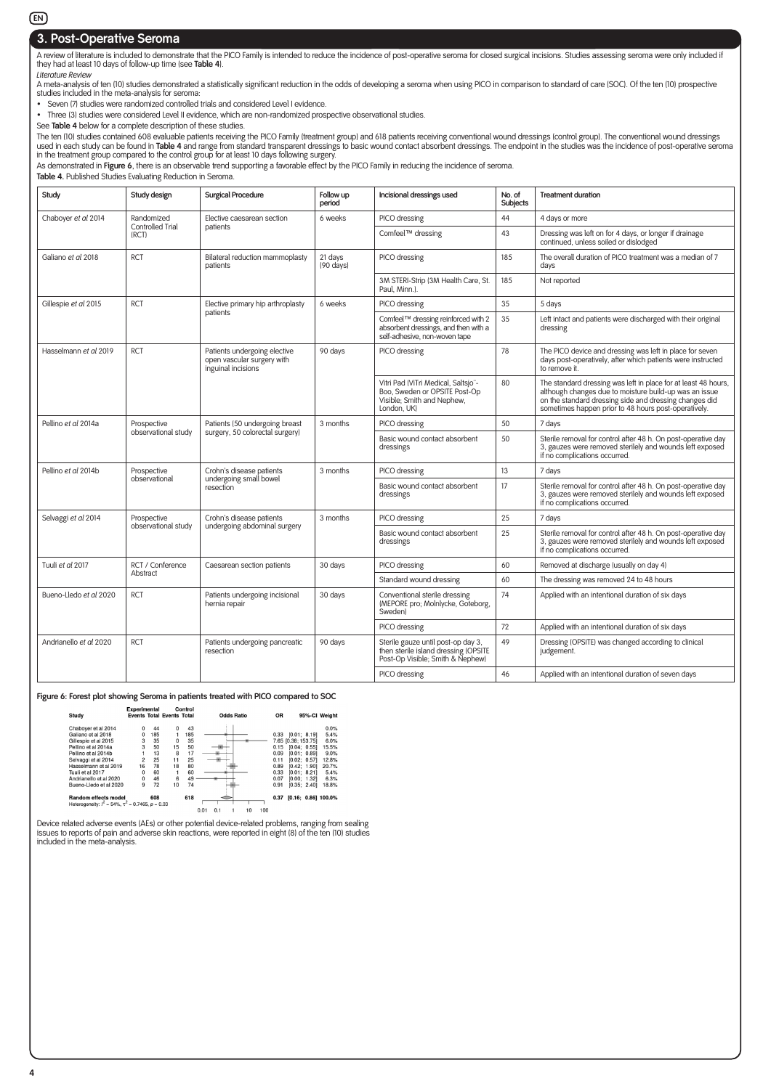#### **EN**

## **3. Post-Operative Seroma**

A review of literature is included to demonstrate that the PICO Family is intended to reduce the incidence of post-operative seroma for closed surgical incisions. Studies assessing seroma were only included if they had at least 10 days of follow-up time (see **Table 4**).

*Literature Review*<br>A meta-analysis of ten (10) studies demonstrated a statistically significant reduction in the odds of developing a seroma when using PICO in comparison to standard of care (SOC). Of the ten (10) prospec studies included in the meta-analysis for seroma:

• Seven (7) studies were randomized controlled trials and considered Level I evidence.

• Three (3) studies were considered Level II evidence, which are non-randomized prospective observational studies.

See **Table 4** below for a complete description of these studies. The ten (10) studies contained 608 evaluable patients receiving the PICO Family (treatment group) and 618 patients receiving conventional wound dressings (control group). The conventional wound dessings<br>used in each study

As demonstrated in **Figure 6**, there is an observable trend supporting a favorable effect by the PICO Family in reducing the incidence of seroma.

**Table 4.** Published Studies Evaluating Reduction in Seroma.

| Study                  | Study design              | <b>Surgical Procedure</b>                                                        | Follow up<br>period            | Incisional dressings used                                                                                         | No. of<br>Subjects | <b>Treatment duration</b>                                                                                                                                                                                                                  |
|------------------------|---------------------------|----------------------------------------------------------------------------------|--------------------------------|-------------------------------------------------------------------------------------------------------------------|--------------------|--------------------------------------------------------------------------------------------------------------------------------------------------------------------------------------------------------------------------------------------|
| Chaboyer et al 2014    | Randomized                | Elective caesarean section                                                       | 6 weeks                        | PICO dressing                                                                                                     | 44                 | 4 days or more                                                                                                                                                                                                                             |
|                        | Controlled Trial<br>(RCT) | patients                                                                         |                                | Comfeel™ dressing                                                                                                 | 43                 | Dressing was left on for 4 days, or longer if drainage<br>continued, unless soiled or dislodged                                                                                                                                            |
| Galiano et al 2018     | <b>RCT</b>                | Bilateral reduction mammoplasty<br>patients                                      | 21 days<br>$(90 \text{ days})$ | PICO dressing                                                                                                     | 185                | The overall duration of PICO treatment was a median of 7<br>days                                                                                                                                                                           |
|                        |                           |                                                                                  |                                | 3M STERI-Strip (3M Health Care, St.<br>Paul, Minn.).                                                              | 185                | Not reported                                                                                                                                                                                                                               |
| Gillespie et al 2015   | <b>RCT</b>                | Elective primary hip arthroplasty                                                | 6 weeks                        | PICO dressing                                                                                                     | 35                 | 5 days                                                                                                                                                                                                                                     |
|                        |                           | patients                                                                         |                                | Comfeel™ dressing reinforced with 2<br>absorbent dressings, and then with a<br>self-adhesive, non-woven tape      | 35                 | Left intact and patients were discharged with their original<br>dressing                                                                                                                                                                   |
| Hasselmann et al 2019  | <b>RCT</b>                | Patients undergoing elective<br>open vascular surgery with<br>inguinal incisions | 90 days                        | PICO dressing                                                                                                     | 78                 | The PICO device and dressing was left in place for seven<br>days post-operatively, after which patients were instructed<br>to remove it.                                                                                                   |
|                        |                           |                                                                                  |                                | Vitri Pad (ViTri Medical, Saltsjo"-<br>Boo, Sweden or OPSITE Post-Op<br>Visible; Smith and Nephew,<br>London, UK) | 80                 | The standard dressing was left in place for at least 48 hours,<br>although changes due to moisture build-up was an issue<br>on the standard dressing side and dressing changes did<br>sometimes happen prior to 48 hours post-operatively. |
| Pellino et al 2014a    | Prospective               | Patients (50 undergoing breast                                                   | 3 months                       | PICO dressing                                                                                                     | 50                 | 7 days                                                                                                                                                                                                                                     |
|                        | observational study       | surgery, 50 colorectal surgery)                                                  |                                | Basic wound contact absorbent<br>dressings                                                                        | 50                 | Sterile removal for control after 48 h. On post-operative day<br>3, gauzes were removed sterilely and wounds left exposed<br>if no complications occurred.                                                                                 |
| Pellino et al 2014b    | Prospective               | Crohn's disease patients                                                         | 3 months                       | PICO dressing                                                                                                     | 13                 | 7 days                                                                                                                                                                                                                                     |
|                        | observational             | undergoing small bowel<br>resection                                              |                                | Basic wound contact absorbent<br>dressings                                                                        | 17                 | Sterile removal for control after 48 h. On post-operative day<br>3, gauzes were removed sterilely and wounds left exposed<br>if no complications occurred.                                                                                 |
| Selvaggi et al 2014    | Prospective               | Crohn's disease patients                                                         | 3 months                       | PICO dressing                                                                                                     | 25                 | 7 days                                                                                                                                                                                                                                     |
|                        | observational studv       | undergoing abdominal surgery                                                     |                                | Basic wound contact absorbent<br>dressings                                                                        | 25                 | Sterile removal for control after 48 h. On post-operative day<br>3, gauzes were removed sterilely and wounds left exposed<br>if no complications occurred.                                                                                 |
| Tuuli et al 2017       | RCT / Conference          | Caesarean section patients                                                       | 30 days                        | PICO dressing                                                                                                     | 60                 | Removed at discharge (usually on day 4)                                                                                                                                                                                                    |
|                        | Abstract                  |                                                                                  |                                | Standard wound dressing                                                                                           | 60                 | The dressing was removed 24 to 48 hours                                                                                                                                                                                                    |
| Bueno-Lledo et al 2020 | <b>RCT</b>                | Patients undergoing incisional<br>hernia repair                                  | 30 days                        | Conventional sterile dressing<br>(MEPORE pro; Molnlycke, Goteborg,<br>Sweden)                                     | 74                 | Applied with an intentional duration of six days                                                                                                                                                                                           |
|                        |                           |                                                                                  |                                | PICO dressing                                                                                                     | 72                 | Applied with an intentional duration of six days                                                                                                                                                                                           |
| Andrianello et al 2020 | <b>RCT</b>                | Patients undergoing pancreatic<br>resection                                      | 90 days                        | Sterile gauze until post-op day 3,<br>then sterile island dressing (OPSITE<br>Post-Op Visible; Smith & Nephew)    | 49                 | Dressing (OPSITE) was changed according to clinical<br>judgement.                                                                                                                                                                          |
|                        |                           |                                                                                  |                                | PICO dressing                                                                                                     | 46                 | Applied with an intentional duration of seven days                                                                                                                                                                                         |

**Figure 6: Forest plot showing Seroma in patients treated with PICO compared to SOC**

|                                                                                        | <b>Experimental</b> |     |                                  | Control |      |     |                   |    |     |           |                     |       |
|----------------------------------------------------------------------------------------|---------------------|-----|----------------------------------|---------|------|-----|-------------------|----|-----|-----------|---------------------|-------|
| Study                                                                                  |                     |     | <b>Events Total Events Total</b> |         |      |     | <b>Odds Ratio</b> |    |     | <b>OR</b> | 95%-CI Weight       |       |
| Chabover et al 2014                                                                    |                     | 44  | $\Omega$                         | 43      |      |     |                   |    |     |           |                     | 0.0%  |
| Galiano et al 2018                                                                     | 0                   | 185 |                                  | 185     |      |     |                   |    |     | 0.33      | [0.01; 8.19]        | 5.4%  |
| Gillespie et al 2015                                                                   | 3                   | 35  | $\mathbf 0$                      | 35      |      |     |                   |    |     |           | 7.65 [0.38; 153.75] | 6.0%  |
| Pellino et al 2014a                                                                    | 3                   | 50  | 15                               | 50      |      |     |                   |    |     | 0.15      | [0.04; 0.55]        | 15.5% |
| Pellino et al 2014b                                                                    |                     | 13  | 8                                | 17      |      |     |                   |    |     | 0.09      | [0.01; 0.89]        | 9.0%  |
| Selvaggi et al 2014                                                                    | $\overline{c}$      | 25  | 11                               | 25      |      |     |                   |    |     | 0.11      | [0.02; 0.57]        | 12.8% |
| Hasselmann et al 2019                                                                  | 16                  | 78  | 18                               | 80      |      |     |                   |    |     | 0.89      | [0.42; 1.90]        | 20.7% |
| Tuuli et al 2017                                                                       | U                   | 60  |                                  | 60      |      |     |                   |    |     | 0.33      | [0.01; 8.21]        | 5.4%  |
| Andrianello et al 2020                                                                 | U                   | 46  | 6                                | 49      |      |     |                   |    |     | 0.07      | [0.00: 1.32]        | 6.3%  |
| Bueno-Lledo et al 2020                                                                 | 9                   | 72  | 10                               | 74      |      |     |                   |    |     | 0.91      | [0.35; 2.40]        | 18.8% |
| <b>Random effects model</b><br>Heterogeneity: $l^2$ = 54%, $\tau^2$ = 0.7465, p = 0.03 |                     | 608 |                                  | 618     |      |     |                   |    |     | 0.37      | [0.16; 0.86] 100.0% |       |
|                                                                                        |                     |     |                                  |         | 0.01 | 0.1 |                   | 10 | 100 |           |                     |       |

Device related adverse events (AEs) or other potential device-related problems, ranging from sealing issues to reports of pain and adverse skin reactions, were reported in eight (8) of the ten (10) studies included in the meta-analysis.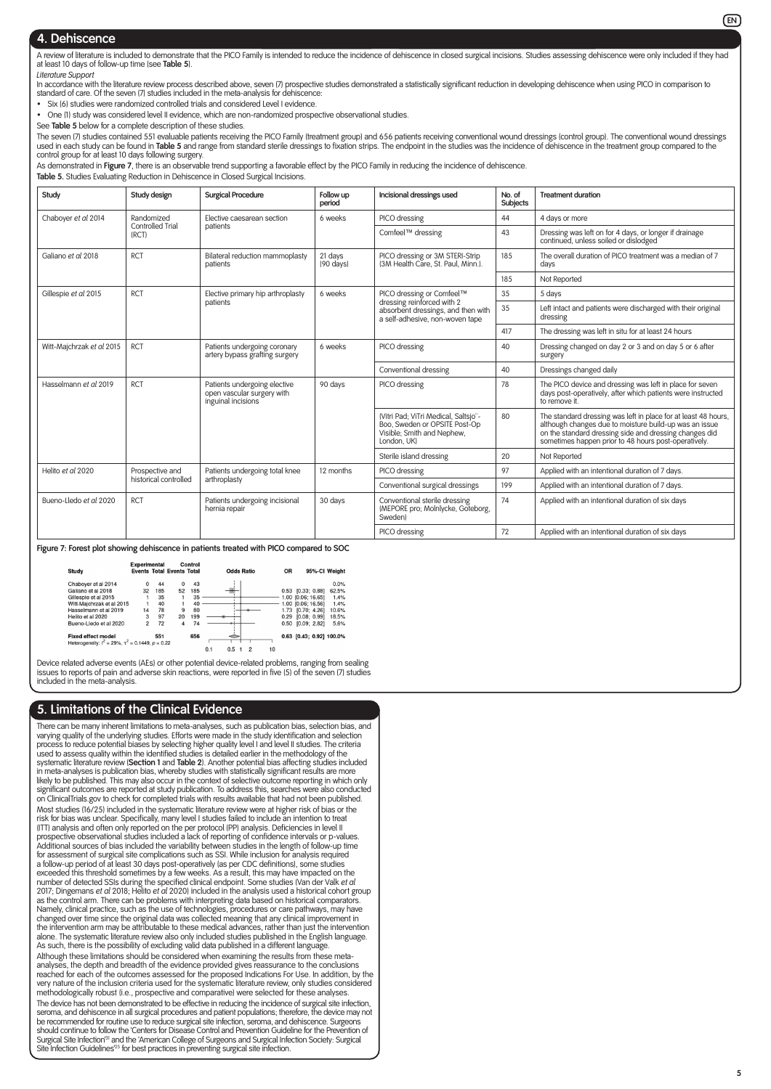#### **4. Dehiscence**

A review of literature is included to demonstrate that the PICO Family is intended to reduce the incidence of dehiscence in closed surgical incisions. Studies assessing dehiscence were only included if they had at least 10 days of follow-up time (see **Table 5**). *Literature Support*

In accordance with the literature review process described above, seven (7) prospective studies demonstrated a statistically significant reduction in developing dehiscence when using PICO in comparison to standard of care. Of the seven (7) studies included in the meta-analysis for dehiscence:

• Six (6) studies were randomized controlled trials and considered Level I evidence.

• One (1) study was considered level II evidence, which are non-randomized prospective observational studies.

See **Table 5** below for a complete description of these studies.

The seven (7) studies contained 551 evaluable patients receiving the PICO Family (treatment group) and 656 patients receiving conventional wound dressings (control group). The conventional wound dressings used in each study can be found in **Table 5** and range from standard sterile dressings to fixation strips. The endpoint in the studies was the incidence of dehiscence in the treatment group compared to the control group for at least 10 days following surgery.

As demonstrated in **Figure 7**, there is an observable trend supporting a favorable effect by the PICO Family in reducing the incidence of dehiscence.

**Table 5.** Studies Evaluating Reduction in Dehiscence in Closed Surgical Incisions.

| Study                                   | Study design              | <b>Surgical Procedure</b>                                                        | Follow up<br>period  | Incisional dressings used                                                                                          | No. of<br>Subjects | <b>Treatment duration</b>                                                                                                                                                                                                                  |
|-----------------------------------------|---------------------------|----------------------------------------------------------------------------------|----------------------|--------------------------------------------------------------------------------------------------------------------|--------------------|--------------------------------------------------------------------------------------------------------------------------------------------------------------------------------------------------------------------------------------------|
| Chaboyer et al 2014                     | Randomized                | Elective caesarean section                                                       | 6 weeks              | PICO dressing                                                                                                      | 44                 | 4 days or more                                                                                                                                                                                                                             |
|                                         | Controlled Trial<br>(RCT) | patients                                                                         |                      | Comfeel™ dressing                                                                                                  | 43                 | Dressing was left on for 4 days, or longer if drainage<br>continued, unless soiled or dislodged                                                                                                                                            |
| Galiano et al 2018                      | <b>RCT</b>                | Bilateral reduction mammoplasty<br>patients                                      | 21 days<br>(90 days) | PICO dressing or 3M STERI-Strip<br>(3M Health Care, St. Paul, Minn.).                                              | 185                | The overall duration of PICO treatment was a median of 7<br>davs                                                                                                                                                                           |
|                                         |                           |                                                                                  |                      |                                                                                                                    | 185                | Not Reported                                                                                                                                                                                                                               |
| Gillespie et al 2015                    | <b>RCT</b>                | Elective primary hip arthroplasty                                                | 6 weeks              | PICO dressing or Comfeel™                                                                                          | 35                 | 5 days                                                                                                                                                                                                                                     |
|                                         |                           | patients                                                                         |                      | dressing reinforced with 2<br>absorbent dressings, and then with<br>a self-adhesive, non-woven tape                | 35                 | Left intact and patients were discharged with their original<br>dressing                                                                                                                                                                   |
|                                         |                           |                                                                                  |                      |                                                                                                                    | 417                | The dressing was left in situ for at least 24 hours                                                                                                                                                                                        |
| <b>RCT</b><br>Witt-Majchrzak et al 2015 |                           | Patients undergoing coronary<br>artery bypass grafting surgery                   | 6 weeks              | PICO dressing                                                                                                      | 40                 | Dressing changed on day 2 or 3 and on day 5 or 6 after<br>surgery                                                                                                                                                                          |
|                                         |                           |                                                                                  |                      | Conventional dressing                                                                                              | 40                 | Dressings changed daily                                                                                                                                                                                                                    |
| Hasselmann et al 2019                   | <b>RCT</b>                | Patients undergoing elective<br>open vascular surgery with<br>inguinal incisions | 90 days              | PICO dressing                                                                                                      | 78                 | The PICO device and dressing was left in place for seven<br>days post-operatively, after which patients were instructed<br>to remove it.                                                                                                   |
|                                         |                           |                                                                                  |                      | (Vitri Pad: ViTri Medical, Saltsio"-<br>Boo, Sweden or OPSITE Post-Op<br>Visible; Smith and Nephew,<br>London, UK) | 80                 | The standard dressing was left in place for at least 48 hours,<br>although changes due to moisture build-up was an issue<br>on the standard dressing side and dressing changes did<br>sometimes happen prior to 48 hours post-operatively. |
|                                         |                           |                                                                                  |                      | Sterile island dressing                                                                                            | 20                 | Not Reported                                                                                                                                                                                                                               |
| Helito et al 2020                       | Prospective and           | Patients undergoing total knee                                                   | 12 months            | PICO dressing                                                                                                      | 97                 | Applied with an intentional duration of 7 days.                                                                                                                                                                                            |
|                                         | historical controlled     | arthroplasty                                                                     |                      | Conventional surgical dressings                                                                                    | 199                | Applied with an intentional duration of 7 days.                                                                                                                                                                                            |
| Bueno-Lledo et al 2020<br><b>RCT</b>    |                           | Patients undergoing incisional<br>hernia repair                                  | 30 days              | Conventional sterile dressing<br>(MEPORE pro; Molnlycke, Goteborg,<br>Swedenl                                      | 74                 | Applied with an intentional duration of six days                                                                                                                                                                                           |
|                                         |                           |                                                                                  |                      | PICO dressing                                                                                                      | 72                 | Applied with an intentional duration of six days                                                                                                                                                                                           |

**Figure 7: Forest plot showing dehiscence in patients treated with PICO compared to SOC**

|                                                                                           | Experimental   |     |                                  | Control |                   |           |                            |
|-------------------------------------------------------------------------------------------|----------------|-----|----------------------------------|---------|-------------------|-----------|----------------------------|
| Study                                                                                     |                |     | <b>Events Total Events Total</b> |         | <b>Odds Ratio</b> | <b>OR</b> | 95%-CI Weight              |
| Chaboyer et al 2014                                                                       | 0              | 44  | 0                                | 43      |                   |           | 0.0%                       |
| Galiano et al 2018                                                                        | 32             | 185 | 52                               | 185     |                   | 0.53      | 62.5%<br>[0.33; 0.88]      |
| Gillespie et al 2015                                                                      |                | 35  |                                  | 35      |                   |           | 1.00 [0.06; 16.65]<br>1.4% |
| Witt-Majchrzak et al 2015                                                                 |                | 40  | 1                                | 40      |                   |           | 1.00 [0.06; 16.56]<br>1.4% |
| Hasselmann et al 2019                                                                     | 14             | 78  | 9                                | 80      |                   | 1.73      | [0.70; 4.26]<br>10.6%      |
| Helito et al 2020                                                                         | 3              | 97  | 20                               | 199     |                   | 0.29      | 18.5%<br>[0.08; 0.99]      |
| Bueno-Lledo et al 2020                                                                    | $\overline{2}$ | 72  | 4                                | 74      |                   | 0.50      | 5.6%<br>[0.09; 2.82]       |
| <b>Fixed effect model</b><br>Heterogeneity: $l^2 = 29\%$ , $\tau^2 = 0.1449$ , $p = 0.22$ |                | 551 |                                  | 656     | ⇐                 |           | 0.63 [0.43: 0.92] 100.0%   |
|                                                                                           |                |     |                                  |         | 0.1<br>0.5        | 10        |                            |

Device related adverse events (AEs) or other potential device-related problems, ranging from sealing issues to reports of pain and adverse skin reactions, were reported in five (5) of the seven (7) studies included in the meta-analysis.

#### **5. Limitations of the Clinical Evidence**

There can be many inherent limitations to meta-analyses, such as publication bias, selection bias, and varying quality of the underlying studies. Efforts were made in the study identification and selection<br>process to reduce potential biases by selecting higher quality level I and level II studies. The criteria<br>used to asses systematic literature review (**Section 1** and **Table 2**). Another potential bias affecting studies included in meta-analyses is publication bias, whereby studies with statistically significant results are more likely to be published. This may also occur in the context of selective outcome reporting in which only significant outcomes are reported at study publication. To address this, searches were also conducted on ClinicalTrials.gov to check for completed trials with results available that had not been published. Most studies (16/25) included in the systematic literature review were at higher risk of bias or the risk for bias was unclear. Specifically, many level I studies failed to include an intention to treat (ITT) analysis and often only reported on the per protocol (PP) analysis. Deficiencies in level II<br>prospective observational studies included a lack of reporting of confidence intervals or p-values.<br>Additional sources of b for assessment of surgical site complications such as SSI. While inclusion for analysis required<br>a follow-up period of at least 30 days post-operatively (as per CDC definitions), some studies<br>exceeded this threshold someti Namely, clinical practice, such as the use of technologies, procedures or care pathways, may have<br>changed over time since the original data was collected meaning that any clinical improvement in<br>the intervention arm may be alone. The systematic literature review also only included studies published in the English language. As such, there is the possibility of excluding valid data published in a different language. Although these limitations should be considered when examining the results from these metaanalyses, the depth and breadth of the evidence provided gives reassurance to the conclusions reached for each of the outcomes assessed for the proposed Indications For Use. In addition, by the very nature of the inclusion criteria used for the systematic literature review, only studies considered methodologically robust (i.e., prospective and comparative) were selected for these analyses. The device has not been demonstrated to be effective in reducing the incidence of surgical site infection, seroma, and dehiscence in all surgical procedures and patient populations; therefore, the device may not be recommended for routine use to reduce surgical site infection, seroma, and dehiscence. Surgeons should continue to follow the 'Centers for Disease Control and Prevention Guideline for the Prevention of Surgical Site Infection'31 and the 'American College of Surgeons and Surgical Infection Society: Surgical Stille Infection Guidelines<sup>25</sup> for best practices in preventing surgical site infection.